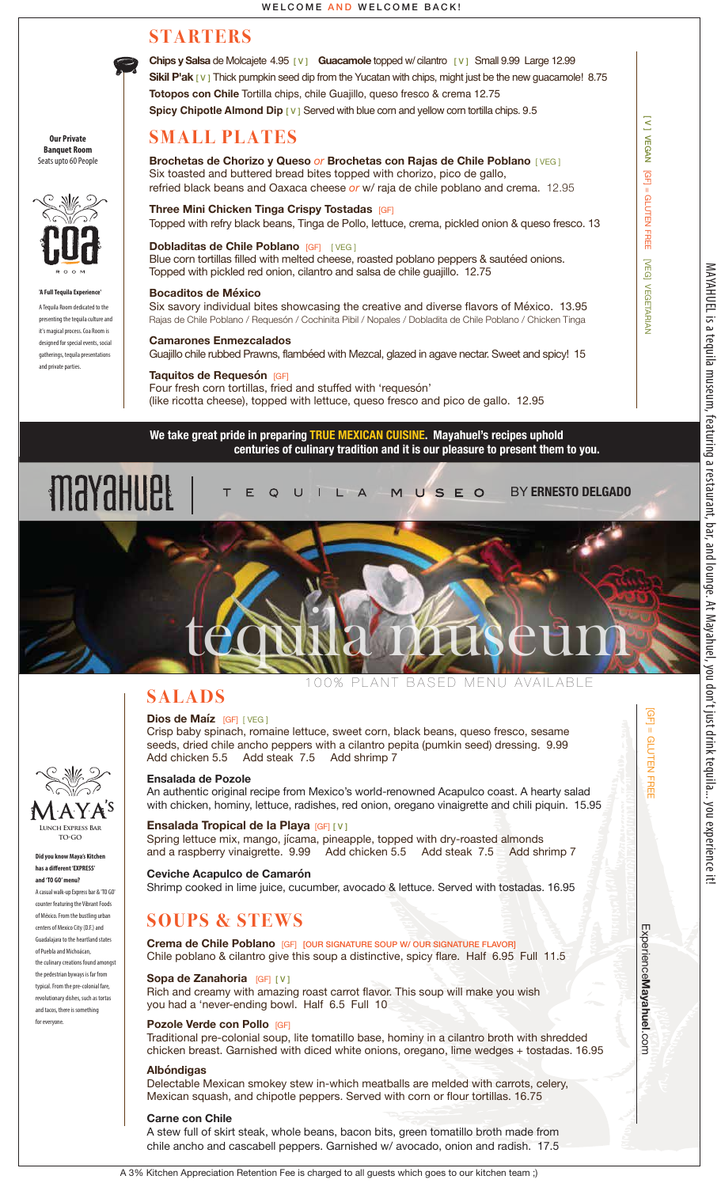

**Chips y Salsa** de Molcajete 4.95 [ V ] **Guacamole** topped w/ cilantro [ V ]Small 9.99 Large 12.99 **Sikil P'ak** [ V ] Thick pumpkin seed dip from the Yucatan with chips, might just be the new guacamole! 8.75 **Totopos con Chile** Tortilla chips, chile Guajillo, queso fresco & crema 12.75 **Spicy Chipotle Almond Dip [ V ] Served with blue corn and yellow corn tortilla chips. 9.5** 

# **SMALL PLATES**

**Our Private Banquet Room** Seats upto 60 People



**'A Full Tequila Experience'** A Tequila Room dedicated to the presenting the tequila culture and it's magical process. Coa Room is designed for special events, social gatherings, tequila presentations and private parties.

**Did you know Maya's Kitchen**  has a different 'EXPRESS' **and 'TO GO' menu?** A casual walk-up Express bar & 'TO GO' counter featuring the Vibrant Foods of México. From the bustling urban centers of Mexico City (D.F.) and Guadalajara to the heartland states of Puebla and Michoácan, the culinary creations found amongst the pedestrian byways is far from typical. From the pre-colonial fare, revolutionary dishes, such as tortas and tacos, there is something for everyone.

**Lunch Express Bar TO•GO**

1 A Y A <sup>s</sup>

## **Brochetas de Chorizo y Queso** *or* **Brochetas con Rajas de Chile Poblano** [ VEG ] Six toasted and buttered bread bites topped with chorizo, pico de gallo, refried black beans and Oaxaca cheese *or* w/ raja de chile poblano and crema. 12.95

**Three Mini Chicken Tinga Crispy Tostadas** [GF] Topped with refry black beans, Tinga de Pollo, lettuce, crema, pickled onion & queso fresco. 13

**Dobladitas de Chile Poblano** [GF] [ VEG ] Blue corn tortillas filled with melted cheese, roasted poblano peppers & sautéed onions. Topped with pickled red onion, cilantro and salsa de chile guajillo. 12.75

#### **Bocaditos de México**

Six savory individual bites showcasing the creative and diverse flavors of México. 13.95 Rajas de Chile Poblano / Requesón / Cochinita Pibil / Nopales / Dobladita de Chile Poblano / Chicken Tinga

#### **Camarones Enmezcalados**

Guajillo chile rubbed Prawns, flambéed with Mezcal, glazed in agave nectar. Sweet and spicy! 15

## **Taquitos de Requesón** [GF]

Four fresh corn tortillas, fried and stuffed with 'requesón' (like ricotta cheese), topped with lettuce, queso fresco and pico de gallo. 12.95

**We take great pride in preparing TRUE MEXICAN CUISINE. Mayahuel's recipes uphold centuries of culinary tradition and it is our pleasure to present them to you.** 





Crisp baby spinach, romaine lettuce, sweet corn, black beans, queso fresco, sesame seeds, dried chile ancho peppers with a cilantro pepita (pumkin seed) dressing. 9.99<br>Add chicken 5.5 Add steak 7.5 Add shrimp 7 Add steak 7.5 Add shrimp 7

### **Ensalada de Pozole**

An authentic original recipe from Mexico's world-renowned Acapulco coast. A hearty salad with chicken, hominy, lettuce, radishes, red onion, oregano vinaigrette and chili piquin. 15.95

### **Ensalada Tropical de la Playa** [GF] [ V ]

Spring lettuce mix, mango, jícama, pineapple, topped with dry-roasted almonds<br>and a raspberry vinaigrette. 9.99 Add chicken 5.5 Add steak 7.5 Add sh Add chicken 5.5 Add steak 7.5 Add shrimp 7

#### **Ceviche Acapulco de Camarón**

Shrimp cooked in lime juice, cucumber, avocado & lettuce. Served with tostadas. 16.95

# **SOUPS & STEWS**

**Crema de Chile Poblano** [GF] [OUR SIGNATURE SOUP W/ OUR SIGNATURE FLAVOR] Chile poblano & cilantro give this soup a distinctive, spicy flare. Half 6.95 Full 11.5

#### **Sopa de Zanahoria** [GF] [ V ]

Rich and creamy with amazing roast carrot flavor. This soup will make you wish you had a 'never-ending bowl. Half 6.5 Full 10

## **Pozole Verde con Pollo** [GF]

Traditional pre-colonial soup, lite tomatillo base, hominy in a cilantro broth with shredded chicken breast. Garnished with diced white onions, oregano, lime wedges + tostadas. 16.95

### **Albóndigas**

Delectable Mexican smokey stew in-which meatballs are melded with carrots, celery, Mexican squash, and chipotle peppers. Served with corn or flour tortillas. 16.75

#### **Carne con Chile**

A stew full of skirt steak, whole beans, bacon bits, green tomatillo broth made from chile ancho and cascabell peppers. Garnished w/ avocado, onion and radish. 17.5

[ V ] VEGAN

**VEGAN** 

**GFT** 

Ξ

[GF] = GLUTEN FREE [VEG] VEGETARIAN

**NEG** 

**VEGETARIAN** 

= GLUTEN FREE

Experience

.com [GF] = GLUTEN FREE

<u>ରୁ</u>

= GLUTEN FREE

**ExperienceMayahuel.com** 

A 3% Kitchen Appreciation Retention Fee is charged to all guests which goes to our kitchen team ;)